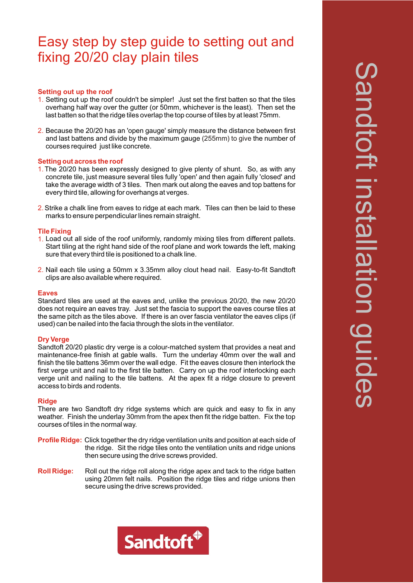# Easy step by step guide to setting out and fixing 20/20 clay plain tiles

## **Setting out up the roof**

- 1. Setting out up the roof couldn't be simpler! Just set the first batten so that the tiles overhang half way over the gutter (or 50mm, whichever is the least). Then set the last batten so that the ridge tiles overlap the top course of tiles by at least 75mm.
- 2. Because the 20/20 has an 'open gauge' simply measure the distance between first and last battens and divide by the maximum gauge (255mm) to give the number of courses required just like concrete.

#### **Setting out across the roof**

- 1. The 20/20 has been expressly designed to give plenty of shunt. So, as with any concrete tile, just measure several tiles fully 'open' and then again fully 'closed' and take the average width of 3 tiles. Then mark out along the eaves and top battens for every third tile, allowing for overhangs at verges.
- 2. Strike a chalk line from eaves to ridge at each mark. Tiles can then be laid to these marks to ensure perpendicular lines remain straight.

## **Tile Fixing**

- 1. Load out all side of the roof uniformly, randomly mixing tiles from different pallets. Start tiling at the right hand side of the roof plane and work towards the left, making sure that every third tile is positioned to a chalk line.
- 2. Nail each tile using a 50mm x 3.35mm alloy clout head nail. Easy-to-fit Sandtoft clips are also available where required.

#### **Eaves**

Standard tiles are used at the eaves and, unlike the previous 20/20, the new 20/20 does not require an eaves tray. Just set the fascia to support the eaves course tiles at the same pitch as the tiles above. If there is an over fascia ventilator the eaves clips (if used) can be nailed into the facia through the slots in the ventilator.

#### **Dry Verge**

Sandtoft 20/20 plastic dry verge is a colour-matched system that provides a neat and maintenance-free finish at gable walls. Turn the underlay 40mm over the wall and finish the tile battens 36mm over the wall edge. Fit the eaves closure then interlock the first verge unit and nail to the first tile batten. Carry on up the roof interlocking each verge unit and nailing to the tile battens. At the apex fit a ridge closure to prevent access to birds and rodents.

#### **Ridge**

There are two Sandtoft dry ridge systems which are quick and easy to fix in any weather. Finish the underlay 30mm from the apex then fit the ridge batten. Fix the top courses of tiles in the normal way.

- **Profile Ridge:** Click together the dry ridge ventilation units and position at each side of the ridge. Sit the ridge tiles onto the ventilation units and ridge unions then secure using the drive screws provided.
- **Roll Ridge:** Roll out the ridge roll along the ridge apex and tack to the ridge batten using 20mm felt nails. Position the ridge tiles and ridge unions then secure using the drive screws provided.